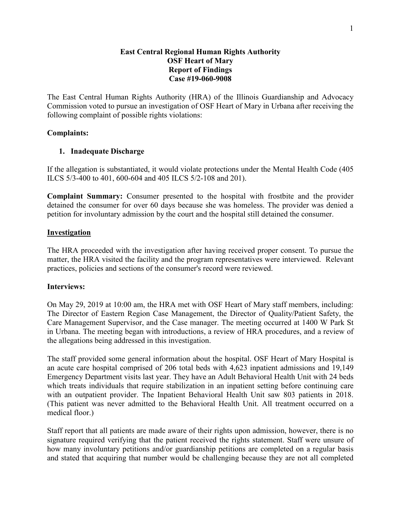#### **East Central Regional Human Rights Authority OSF Heart of Mary Report of Findings Case #19-060-9008**

The East Central Human Rights Authority (HRA) of the Illinois Guardianship and Advocacy Commission voted to pursue an investigation of OSF Heart of Mary in Urbana after receiving the following complaint of possible rights violations:

### **Complaints:**

## **1. Inadequate Discharge**

If the allegation is substantiated, it would violate protections under the Mental Health Code (405 ILCS 5/3-400 to 401, 600-604 and 405 ILCS 5/2-108 and 201).

**Complaint Summary:** Consumer presented to the hospital with frostbite and the provider detained the consumer for over 60 days because she was homeless. The provider was denied a petition for involuntary admission by the court and the hospital still detained the consumer.

### **Investigation**

The HRA proceeded with the investigation after having received proper consent. To pursue the matter, the HRA visited the facility and the program representatives were interviewed. Relevant practices, policies and sections of the consumer's record were reviewed.

### **Interviews:**

On May 29, 2019 at 10:00 am, the HRA met with OSF Heart of Mary staff members, including: The Director of Eastern Region Case Management, the Director of Quality/Patient Safety, the Care Management Supervisor, and the Case manager. The meeting occurred at 1400 W Park St in Urbana. The meeting began with introductions, a review of HRA procedures, and a review of the allegations being addressed in this investigation.

The staff provided some general information about the hospital. OSF Heart of Mary Hospital is an acute care hospital comprised of 206 total beds with 4,623 inpatient admissions and 19,149 Emergency Department visits last year. They have an Adult Behavioral Health Unit with 24 beds which treats individuals that require stabilization in an inpatient setting before continuing care with an outpatient provider. The Inpatient Behavioral Health Unit saw 803 patients in 2018. (This patient was never admitted to the Behavioral Health Unit. All treatment occurred on a medical floor.)

Staff report that all patients are made aware of their rights upon admission, however, there is no signature required verifying that the patient received the rights statement. Staff were unsure of how many involuntary petitions and/or guardianship petitions are completed on a regular basis and stated that acquiring that number would be challenging because they are not all completed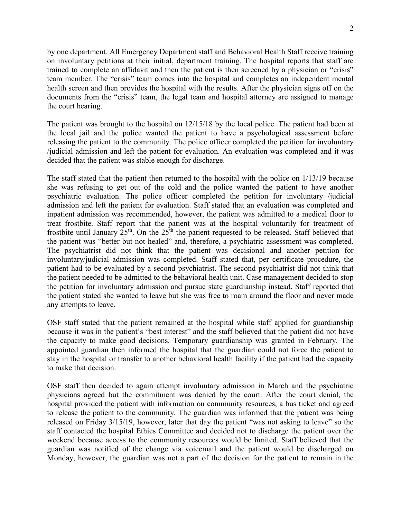2

by one department. All Emergency Department staff and Behavioral Health Staff receive training on involuntary petitions at their initial, department training. The hospital reports that staff are trained to complete an affidavit and then the patient is then screened by a physician or "crisis" team member. The "crisis" team comes into the hospital and completes an independent mental health screen and then provides the hospital with the results. After the physician signs off on the documents from the "crisis" team, the legal team and hospital attorney are assigned to manage the court hearing.

The patient was brought to the hospital on 12/15/18 by the local police. The patient had been at the local jail and the police wanted the patient to have a psychological assessment before releasing the patient to the community. The police officer completed the petition for involuntary /judicial admission and left the patient for evaluation. An evaluation was completed and it was decided that the patient was stable enough for discharge.

The staff stated that the patient then returned to the hospital with the police on 1/13/19 because she was refusing to get out of the cold and the police wanted the patient to have another psychiatric evaluation. The police officer completed the petition for involuntary /judicial admission and left the patient for evaluation. Staff stated that an evaluation was completed and inpatient admission was recommended, however, the patient was admitted to a medical floor to treat frostbite. Staff report that the patient was at the hospital voluntarily for treatment of frostbite until January  $25<sup>th</sup>$ . On the  $25<sup>th</sup>$  the patient requested to be released. Staff believed that the patient was "better but not healed" and, therefore, a psychiatric assessment was completed. The psychiatrist did not think that the patient was decisional and another petition for involuntary/judicial admission was completed. Staff stated that, per certificate procedure, the patient had to be evaluated by a second psychiatrist. The second psychiatrist did not think that the patient needed to be admitted to the behavioral health unit. Case management decided to stop the petition for involuntary admission and pursue state guardianship instead. Staff reported that the patient stated she wanted to leave but she was free to roam around the floor and never made any attempts to leave.

OSF staff stated that the patient remained at the hospital while staff applied for guardianship because it was in the patient's "best interest" and the staff believed that the patient did not have the capacity to make good decisions. Temporary guardianship was granted in February. The appointed guardian then informed the hospital that the guardian could not force the patient to stay in the hospital or transfer to another behavioral health facility if the patient had the capacity to make that decision.

OSF staff then decided to again attempt involuntary admission in March and the psychiatric physicians agreed but the commitment was denied by the court. After the court denial, the hospital provided the patient with information on community resources, a bus ticket and agreed to release the patient to the community. The guardian was informed that the patient was being released on Friday 3/15/19, however, later that day the patient "was not asking to leave" so the staff contacted the hospital Ethics Committee and decided not to discharge the patient over the weekend because access to the community resources would be limited. Staff believed that the guardian was notified of the change via voicemail and the patient would be discharged on Monday, however, the guardian was not a part of the decision for the patient to remain in the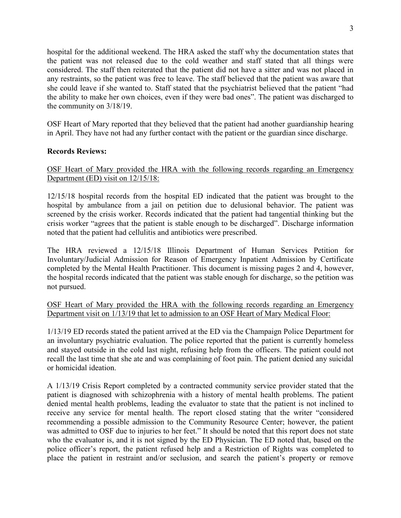hospital for the additional weekend. The HRA asked the staff why the documentation states that the patient was not released due to the cold weather and staff stated that all things were considered. The staff then reiterated that the patient did not have a sitter and was not placed in any restraints, so the patient was free to leave. The staff believed that the patient was aware that she could leave if she wanted to. Staff stated that the psychiatrist believed that the patient "had the ability to make her own choices, even if they were bad ones". The patient was discharged to the community on 3/18/19.

OSF Heart of Mary reported that they believed that the patient had another guardianship hearing in April. They have not had any further contact with the patient or the guardian since discharge.

### **Records Reviews:**

## OSF Heart of Mary provided the HRA with the following records regarding an Emergency Department (ED) visit on 12/15/18:

12/15/18 hospital records from the hospital ED indicated that the patient was brought to the hospital by ambulance from a jail on petition due to delusional behavior. The patient was screened by the crisis worker. Records indicated that the patient had tangential thinking but the crisis worker "agrees that the patient is stable enough to be discharged". Discharge information noted that the patient had cellulitis and antibiotics were prescribed.

The HRA reviewed a 12/15/18 Illinois Department of Human Services Petition for Involuntary/Judicial Admission for Reason of Emergency Inpatient Admission by Certificate completed by the Mental Health Practitioner. This document is missing pages 2 and 4, however, the hospital records indicated that the patient was stable enough for discharge, so the petition was not pursued.

## OSF Heart of Mary provided the HRA with the following records regarding an Emergency Department visit on 1/13/19 that let to admission to an OSF Heart of Mary Medical Floor:

1/13/19 ED records stated the patient arrived at the ED via the Champaign Police Department for an involuntary psychiatric evaluation. The police reported that the patient is currently homeless and stayed outside in the cold last night, refusing help from the officers. The patient could not recall the last time that she ate and was complaining of foot pain. The patient denied any suicidal or homicidal ideation.

A 1/13/19 Crisis Report completed by a contracted community service provider stated that the patient is diagnosed with schizophrenia with a history of mental health problems. The patient denied mental health problems, leading the evaluator to state that the patient is not inclined to receive any service for mental health. The report closed stating that the writer "considered recommending a possible admission to the Community Resource Center; however, the patient was admitted to OSF due to injuries to her feet." It should be noted that this report does not state who the evaluator is, and it is not signed by the ED Physician. The ED noted that, based on the police officer's report, the patient refused help and a Restriction of Rights was completed to place the patient in restraint and/or seclusion, and search the patient's property or remove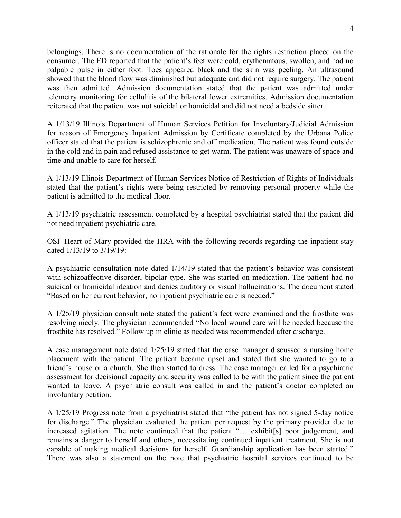belongings. There is no documentation of the rationale for the rights restriction placed on the consumer. The ED reported that the patient's feet were cold, erythematous, swollen, and had no palpable pulse in either foot. Toes appeared black and the skin was peeling. An ultrasound showed that the blood flow was diminished but adequate and did not require surgery. The patient was then admitted. Admission documentation stated that the patient was admitted under telemetry monitoring for cellulitis of the bilateral lower extremities. Admission documentation reiterated that the patient was not suicidal or homicidal and did not need a bedside sitter.

A 1/13/19 Illinois Department of Human Services Petition for Involuntary/Judicial Admission for reason of Emergency Inpatient Admission by Certificate completed by the Urbana Police officer stated that the patient is schizophrenic and off medication. The patient was found outside in the cold and in pain and refused assistance to get warm. The patient was unaware of space and time and unable to care for herself.

A 1/13/19 Illinois Department of Human Services Notice of Restriction of Rights of Individuals stated that the patient's rights were being restricted by removing personal property while the patient is admitted to the medical floor.

A 1/13/19 psychiatric assessment completed by a hospital psychiatrist stated that the patient did not need inpatient psychiatric care.

## OSF Heart of Mary provided the HRA with the following records regarding the inpatient stay dated 1/13/19 to 3/19/19:

A psychiatric consultation note dated 1/14/19 stated that the patient's behavior was consistent with schizoaffective disorder, bipolar type. She was started on medication. The patient had no suicidal or homicidal ideation and denies auditory or visual hallucinations. The document stated "Based on her current behavior, no inpatient psychiatric care is needed."

A 1/25/19 physician consult note stated the patient's feet were examined and the frostbite was resolving nicely. The physician recommended "No local wound care will be needed because the frostbite has resolved." Follow up in clinic as needed was recommended after discharge.

A case management note dated 1/25/19 stated that the case manager discussed a nursing home placement with the patient. The patient became upset and stated that she wanted to go to a friend's house or a church. She then started to dress. The case manager called for a psychiatric assessment for decisional capacity and security was called to be with the patient since the patient wanted to leave. A psychiatric consult was called in and the patient's doctor completed an involuntary petition.

A 1/25/19 Progress note from a psychiatrist stated that "the patient has not signed 5-day notice for discharge." The physician evaluated the patient per request by the primary provider due to increased agitation. The note continued that the patient "… exhibit[s] poor judgement, and remains a danger to herself and others, necessitating continued inpatient treatment. She is not capable of making medical decisions for herself. Guardianship application has been started." There was also a statement on the note that psychiatric hospital services continued to be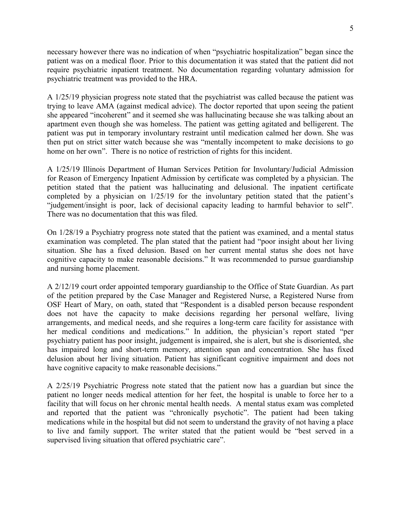necessary however there was no indication of when "psychiatric hospitalization" began since the patient was on a medical floor. Prior to this documentation it was stated that the patient did not require psychiatric inpatient treatment. No documentation regarding voluntary admission for psychiatric treatment was provided to the HRA.

A 1/25/19 physician progress note stated that the psychiatrist was called because the patient was trying to leave AMA (against medical advice). The doctor reported that upon seeing the patient she appeared "incoherent" and it seemed she was hallucinating because she was talking about an apartment even though she was homeless. The patient was getting agitated and belligerent. The patient was put in temporary involuntary restraint until medication calmed her down. She was then put on strict sitter watch because she was "mentally incompetent to make decisions to go home on her own". There is no notice of restriction of rights for this incident.

A 1/25/19 Illinois Department of Human Services Petition for Involuntary/Judicial Admission for Reason of Emergency Inpatient Admission by certificate was completed by a physician. The petition stated that the patient was hallucinating and delusional. The inpatient certificate completed by a physician on 1/25/19 for the involuntary petition stated that the patient's "judgement/insight is poor, lack of decisional capacity leading to harmful behavior to self". There was no documentation that this was filed.

On 1/28/19 a Psychiatry progress note stated that the patient was examined, and a mental status examination was completed. The plan stated that the patient had "poor insight about her living situation. She has a fixed delusion. Based on her current mental status she does not have cognitive capacity to make reasonable decisions." It was recommended to pursue guardianship and nursing home placement.

A 2/12/19 court order appointed temporary guardianship to the Office of State Guardian. As part of the petition prepared by the Case Manager and Registered Nurse, a Registered Nurse from OSF Heart of Mary, on oath, stated that "Respondent is a disabled person because respondent does not have the capacity to make decisions regarding her personal welfare, living arrangements, and medical needs, and she requires a long-term care facility for assistance with her medical conditions and medications." In addition, the physician's report stated "per psychiatry patient has poor insight, judgement is impaired, she is alert, but she is disoriented, she has impaired long and short-term memory, attention span and concentration. She has fixed delusion about her living situation. Patient has significant cognitive impairment and does not have cognitive capacity to make reasonable decisions."

A 2/25/19 Psychiatric Progress note stated that the patient now has a guardian but since the patient no longer needs medical attention for her feet, the hospital is unable to force her to a facility that will focus on her chronic mental health needs. A mental status exam was completed and reported that the patient was "chronically psychotic". The patient had been taking medications while in the hospital but did not seem to understand the gravity of not having a place to live and family support. The writer stated that the patient would be "best served in a supervised living situation that offered psychiatric care".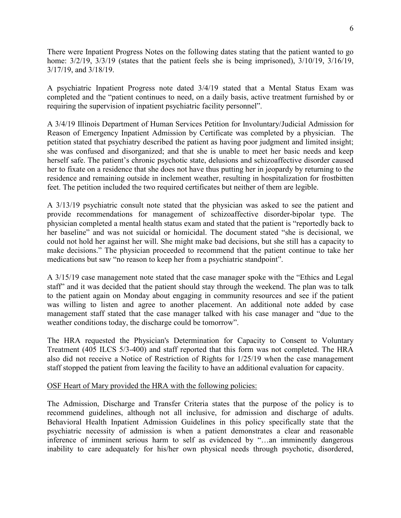There were Inpatient Progress Notes on the following dates stating that the patient wanted to go home: 3/2/19, 3/3/19 (states that the patient feels she is being imprisoned), 3/10/19, 3/16/19, 3/17/19, and 3/18/19.

A psychiatric Inpatient Progress note dated 3/4/19 stated that a Mental Status Exam was completed and the "patient continues to need, on a daily basis, active treatment furnished by or requiring the supervision of inpatient psychiatric facility personnel".

A 3/4/19 Illinois Department of Human Services Petition for Involuntary/Judicial Admission for Reason of Emergency Inpatient Admission by Certificate was completed by a physician. The petition stated that psychiatry described the patient as having poor judgment and limited insight; she was confused and disorganized; and that she is unable to meet her basic needs and keep herself safe. The patient's chronic psychotic state, delusions and schizoaffective disorder caused her to fixate on a residence that she does not have thus putting her in jeopardy by returning to the residence and remaining outside in inclement weather, resulting in hospitalization for frostbitten feet. The petition included the two required certificates but neither of them are legible.

A 3/13/19 psychiatric consult note stated that the physician was asked to see the patient and provide recommendations for management of schizoaffective disorder-bipolar type. The physician completed a mental health status exam and stated that the patient is "reportedly back to her baseline" and was not suicidal or homicidal. The document stated "she is decisional, we could not hold her against her will. She might make bad decisions, but she still has a capacity to make decisions." The physician proceeded to recommend that the patient continue to take her medications but saw "no reason to keep her from a psychiatric standpoint".

A 3/15/19 case management note stated that the case manager spoke with the "Ethics and Legal staff" and it was decided that the patient should stay through the weekend. The plan was to talk to the patient again on Monday about engaging in community resources and see if the patient was willing to listen and agree to another placement. An additional note added by case management staff stated that the case manager talked with his case manager and "due to the weather conditions today, the discharge could be tomorrow".

The HRA requested the Physician's Determination for Capacity to Consent to Voluntary Treatment (405 ILCS 5/3-400) and staff reported that this form was not completed. The HRA also did not receive a Notice of Restriction of Rights for 1/25/19 when the case management staff stopped the patient from leaving the facility to have an additional evaluation for capacity.

### OSF Heart of Mary provided the HRA with the following policies:

The Admission, Discharge and Transfer Criteria states that the purpose of the policy is to recommend guidelines, although not all inclusive, for admission and discharge of adults. Behavioral Health Inpatient Admission Guidelines in this policy specifically state that the psychiatric necessity of admission is when a patient demonstrates a clear and reasonable inference of imminent serious harm to self as evidenced by "…an imminently dangerous inability to care adequately for his/her own physical needs through psychotic, disordered,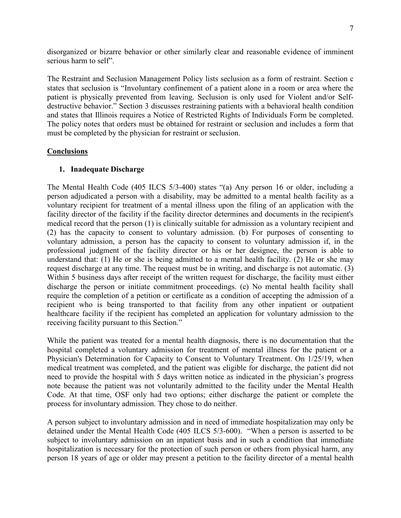disorganized or bizarre behavior or other similarly clear and reasonable evidence of imminent serious harm to self".

The Restraint and Seclusion Management Policy lists seclusion as a form of restraint. Section c states that seclusion is "Involuntary confinement of a patient alone in a room or area where the patient is physically prevented from leaving. Seclusion is only used for Violent and/or Selfdestructive behavior." Section 3 discusses restraining patients with a behavioral health condition and states that Illinois requires a Notice of Restricted Rights of Individuals Form be completed. The policy notes that orders must be obtained for restraint or seclusion and includes a form that must be completed by the physician for restraint or seclusion.

## **Conclusions**

## **1. Inadequate Discharge**

The Mental Health Code (405 ILCS 5/3-400) states "(a) Any person 16 or older, including a person adjudicated a person with a disability, may be admitted to a mental health facility as a voluntary recipient for treatment of a mental illness upon the filing of an application with the facility director of the facility if the facility director determines and documents in the recipient's medical record that the person (1) is clinically suitable for admission as a voluntary recipient and (2) has the capacity to consent to voluntary admission. (b) For purposes of consenting to voluntary admission, a person has the capacity to consent to voluntary admission if, in the professional judgment of the facility director or his or her designee, the person is able to understand that: (1) He or she is being admitted to a mental health facility. (2) He or she may request discharge at any time. The request must be in writing, and discharge is not automatic. (3) Within 5 business days after receipt of the written request for discharge, the facility must either discharge the person or initiate commitment proceedings. (c) No mental health facility shall require the completion of a petition or certificate as a condition of accepting the admission of a recipient who is being transported to that facility from any other inpatient or outpatient healthcare facility if the recipient has completed an application for voluntary admission to the receiving facility pursuant to this Section."

While the patient was treated for a mental health diagnosis, there is no documentation that the hospital completed a voluntary admission for treatment of mental illness for the patient or a Physician's Determination for Capacity to Consent to Voluntary Treatment. On 1/25/19, when medical treatment was completed, and the patient was eligible for discharge, the patient did not need to provide the hospital with 5 days written notice as indicated in the physician's progress note because the patient was not voluntarily admitted to the facility under the Mental Health Code. At that time, OSF only had two options; either discharge the patient or complete the process for involuntary admission. They chose to do neither.

A person subject to involuntary admission and in need of immediate hospitalization may only be detained under the Mental Health Code (405 ILCS 5/3-600). "When a person is asserted to be subject to involuntary admission on an inpatient basis and in such a condition that immediate hospitalization is necessary for the protection of such person or others from physical harm, any person 18 years of age or older may present a petition to the facility director of a mental health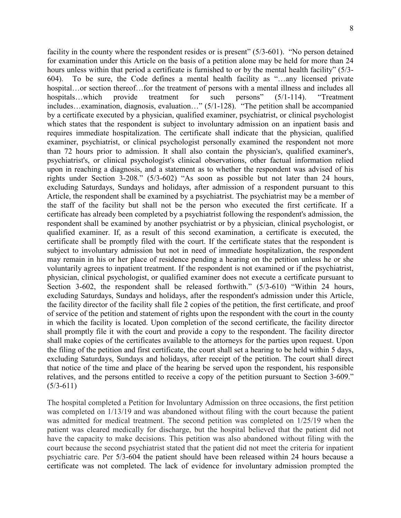facility in the county where the respondent resides or is present" (5/3-601). "No person detained for examination under this Article on the basis of a petition alone may be held for more than 24 hours unless within that period a certificate is furnished to or by the mental health facility" (5/3-604). To be sure, the Code defines a mental health facility as "…any licensed private hospital…or section thereof…for the treatment of persons with a mental illness and includes all hospitals…which provide treatment for such persons" (5/1-114). "Treatment includes…examination, diagnosis, evaluation…" (5/1-128). "The petition shall be accompanied by a certificate executed by a physician, qualified examiner, psychiatrist, or clinical psychologist which states that the respondent is subject to involuntary admission on an inpatient basis and requires immediate hospitalization. The certificate shall indicate that the physician, qualified examiner, psychiatrist, or clinical psychologist personally examined the respondent not more than 72 hours prior to admission. It shall also contain the physician's, qualified examiner's, psychiatrist's, or clinical psychologist's clinical observations, other factual information relied upon in reaching a diagnosis, and a statement as to whether the respondent was advised of his rights under Section 3-208." (5/3-602) "As soon as possible but not later than 24 hours, excluding Saturdays, Sundays and holidays, after admission of a respondent pursuant to this Article, the respondent shall be examined by a psychiatrist. The psychiatrist may be a member of the staff of the facility but shall not be the person who executed the first certificate. If a certificate has already been completed by a psychiatrist following the respondent's admission, the respondent shall be examined by another psychiatrist or by a physician, clinical psychologist, or qualified examiner. If, as a result of this second examination, a certificate is executed, the certificate shall be promptly filed with the court. If the certificate states that the respondent is subject to involuntary admission but not in need of immediate hospitalization, the respondent may remain in his or her place of residence pending a hearing on the petition unless he or she voluntarily agrees to inpatient treatment. If the respondent is not examined or if the psychiatrist, physician, clinical psychologist, or qualified examiner does not execute a certificate pursuant to Section 3-602, the respondent shall be released forthwith." (5/3-610) "Within 24 hours, excluding Saturdays, Sundays and holidays, after the respondent's admission under this Article, the facility director of the facility shall file 2 copies of the petition, the first certificate, and proof of service of the petition and statement of rights upon the respondent with the court in the county in which the facility is located. Upon completion of the second certificate, the facility director shall promptly file it with the court and provide a copy to the respondent. The facility director shall make copies of the certificates available to the attorneys for the parties upon request. Upon the filing of the petition and first certificate, the court shall set a hearing to be held within 5 days, excluding Saturdays, Sundays and holidays, after receipt of the petition. The court shall direct that notice of the time and place of the hearing be served upon the respondent, his responsible relatives, and the persons entitled to receive a copy of the petition pursuant to Section 3-609."  $(5/3-611)$ 

The hospital completed a Petition for Involuntary Admission on three occasions, the first petition was completed on 1/13/19 and was abandoned without filing with the court because the patient was admitted for medical treatment. The second petition was completed on 1/25/19 when the patient was cleared medically for discharge, but the hospital believed that the patient did not have the capacity to make decisions. This petition was also abandoned without filing with the court because the second psychiatrist stated that the patient did not meet the criteria for inpatient psychiatric care. Per 5/3-604 the patient should have been released within 24 hours because a certificate was not completed. The lack of evidence for involuntary admission prompted the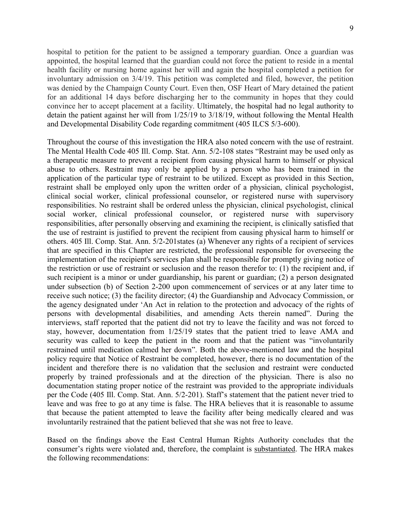hospital to petition for the patient to be assigned a temporary guardian. Once a guardian was appointed, the hospital learned that the guardian could not force the patient to reside in a mental health facility or nursing home against her will and again the hospital completed a petition for involuntary admission on 3/4/19. This petition was completed and filed, however, the petition was denied by the Champaign County Court. Even then, OSF Heart of Mary detained the patient for an additional 14 days before discharging her to the community in hopes that they could convince her to accept placement at a facility. Ultimately, the hospital had no legal authority to detain the patient against her will from 1/25/19 to 3/18/19, without following the Mental Health and Developmental Disability Code regarding commitment (405 ILCS 5/3-600).

Throughout the course of this investigation the HRA also noted concern with the use of restraint. The Mental Health Code 405 Ill. Comp. Stat. Ann. 5/2-108 states "Restraint may be used only as a therapeutic measure to prevent a recipient from causing physical harm to himself or physical abuse to others. Restraint may only be applied by a person who has been trained in the application of the particular type of restraint to be utilized. Except as provided in this Section, restraint shall be employed only upon the written order of a physician, clinical psychologist, clinical social worker, clinical professional counselor, or registered nurse with supervisory responsibilities. No restraint shall be ordered unless the physician, clinical psychologist, clinical social worker, clinical professional counselor, or registered nurse with supervisory responsibilities, after personally observing and examining the recipient, is clinically satisfied that the use of restraint is justified to prevent the recipient from causing physical harm to himself or others. 405 Ill. Comp. Stat. Ann. 5/2-201states (a) Whenever any rights of a recipient of services that are specified in this Chapter are restricted, the professional responsible for overseeing the implementation of the recipient's services plan shall be responsible for promptly giving notice of the restriction or use of restraint or seclusion and the reason therefor to: (1) the recipient and, if such recipient is a minor or under guardianship, his parent or guardian; (2) a person designated under subsection (b) of Section 2-200 upon commencement of services or at any later time to receive such notice; (3) the facility director; (4) the Guardianship and Advocacy Commission, or the agency designated under 'An Act in relation to the protection and advocacy of the rights of persons with developmental disabilities, and amending Acts therein named". During the interviews, staff reported that the patient did not try to leave the facility and was not forced to stay, however, documentation from 1/25/19 states that the patient tried to leave AMA and security was called to keep the patient in the room and that the patient was "involuntarily restrained until medication calmed her down". Both the above-mentioned law and the hospital policy require that Notice of Restraint be completed, however, there is no documentation of the incident and therefore there is no validation that the seclusion and restraint were conducted properly by trained professionals and at the direction of the physician. There is also no documentation stating proper notice of the restraint was provided to the appropriate individuals per the Code (405 Ill. Comp. Stat. Ann. 5/2-201). Staff's statement that the patient never tried to leave and was free to go at any time is false. The HRA believes that it is reasonable to assume that because the patient attempted to leave the facility after being medically cleared and was involuntarily restrained that the patient believed that she was not free to leave.

Based on the findings above the East Central Human Rights Authority concludes that the consumer's rights were violated and, therefore, the complaint is substantiated. The HRA makes the following recommendations: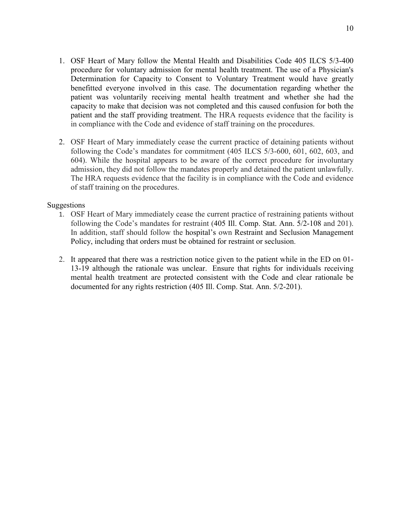- 1. OSF Heart of Mary follow the Mental Health and Disabilities Code 405 ILCS 5/3-400 procedure for voluntary admission for mental health treatment. The use of a Physician's Determination for Capacity to Consent to Voluntary Treatment would have greatly benefitted everyone involved in this case. The documentation regarding whether the patient was voluntarily receiving mental health treatment and whether she had the capacity to make that decision was not completed and this caused confusion for both the patient and the staff providing treatment. The HRA requests evidence that the facility is in compliance with the Code and evidence of staff training on the procedures.
- 2. OSF Heart of Mary immediately cease the current practice of detaining patients without following the Code's mandates for commitment (405 ILCS 5/3-600, 601, 602, 603, and 604). While the hospital appears to be aware of the correct procedure for involuntary admission, they did not follow the mandates properly and detained the patient unlawfully. The HRA requests evidence that the facility is in compliance with the Code and evidence of staff training on the procedures.

#### Suggestions

- 1. OSF Heart of Mary immediately cease the current practice of restraining patients without following the Code's mandates for restraint (405 Ill. Comp. Stat. Ann. 5/2-108 and 201). In addition, staff should follow the hospital's own Restraint and Seclusion Management Policy, including that orders must be obtained for restraint or seclusion.
- 2. It appeared that there was a restriction notice given to the patient while in the ED on 01- 13-19 although the rationale was unclear. Ensure that rights for individuals receiving mental health treatment are protected consistent with the Code and clear rationale be documented for any rights restriction (405 Ill. Comp. Stat. Ann. 5/2-201).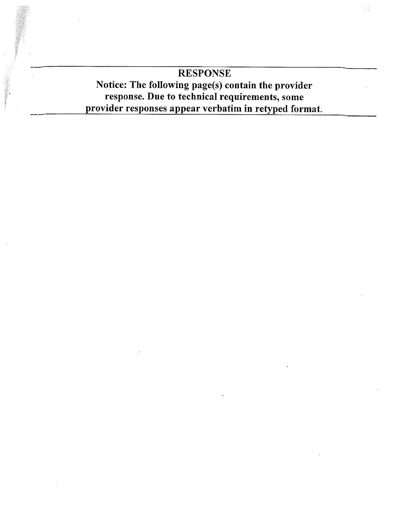# **RESPONSE** Notice: The following page(s) contain the provider response. Due to technical requirements, some provider responses appear verbatim in retyped format.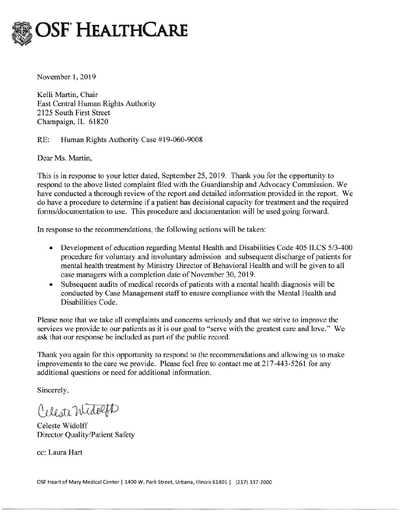

November 1, 2019

Kelli Martin, Chair East Central Human Rights Authority 2125 South First Street Champaign, IL 61820

 $RE:$ Human Rights Authority Case #19-060-9008

Dear Ms. Martin,

This is in response to your letter dated, September 25, 2019. Thank you for the opportunity to respond to the above listed complaint filed with the Guardianship and Advocacy Commission. We have conducted a thorough review of the report and detailed information provided in the report. We do have a procedure to determine if a patient has decisional capacity for treatment and the required forms/documentation to use. This procedure and documentation will be used going forward.

In response to the recommendations, the following actions will be taken:

- Development of education regarding Mental Health and Disabilities Code 405 ILCS 5/3-400 procedure for voluntary and involuntary admission and subsequent discharge of patients for mental health treatment by Ministry Director of Behavioral Health and will be given to all case managers with a completion date of November 30, 2019.
- Subsequent audits of medical records of patients with a mental health diagnosis will be conducted by Case Management staff to ensure compliance with the Mental Health and Disabilities Code.

Please note that we take all complaints and concerns seriously and that we strive to improve the services we provide to our patients as it is our goal to "serve with the greatest care and love." We ask that our response be included as part of the public record.

Thank you again for this opportunity to respond to the recommendations and allowing us to make improvements to the care we provide. Please feel free to contact me at 217-443-5261 for any additional questions or need for additional information.

Sincerely,

Celeste Midolph

Celeste Widolff Director Quality/Patient Safety

cc: Laura Hart